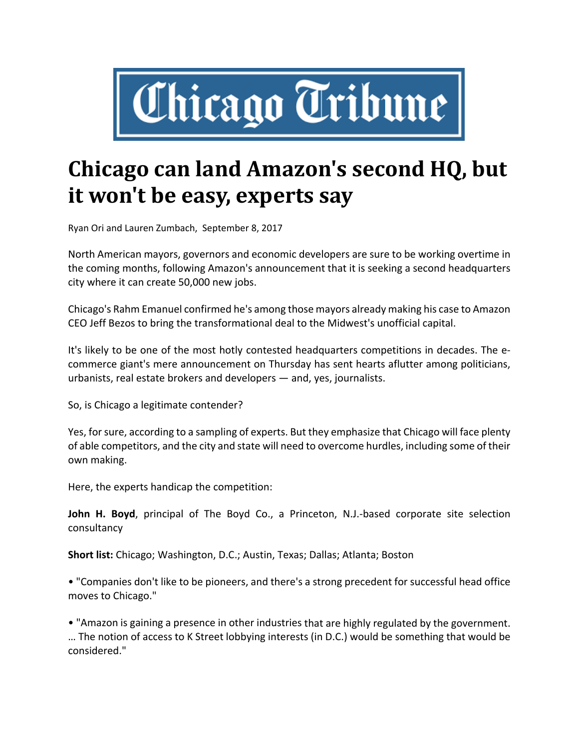

## **Chicago can land Amazon's second HQ, but it won't be easy, experts say**

Ryan Ori and Lauren Zumbach, September 8, 2017

North American mayors, governors and economic developers are sure to be working overtime in the coming months, following Amazon's announcement that it is seeking a second headquarters city where it can create 50,000 new jobs.

Chicago's Rahm Emanuel confirmed he's among those mayors already making his case to Amazon CEO Jeff Bezos to bring the transformational deal to the Midwest's unofficial capital.

It's likely to be one of the most hotly contested headquarters competitions in decades. The e‐ commerce giant's mere announcement on Thursday has sent hearts aflutter among politicians, urbanists, real estate brokers and developers — and, yes, journalists.

So, is Chicago a legitimate contender?

Yes, for sure, according to a sampling of experts. But they emphasize that Chicago will face plenty of able competitors, and the city and state will need to overcome hurdles, including some of their own making.

Here, the experts handicap the competition:

**John H. Boyd**, principal of The Boyd Co., a Princeton, N.J.‐based corporate site selection consultancy

**Short list:** Chicago; Washington, D.C.; Austin, Texas; Dallas; Atlanta; Boston

• "Companies don't like to be pioneers, and there's a strong precedent for successful head office moves to Chicago."

• "Amazon is gaining a presence in other industries that are highly regulated by the government. … The notion of access to K Street lobbying interests (in D.C.) would be something that would be considered."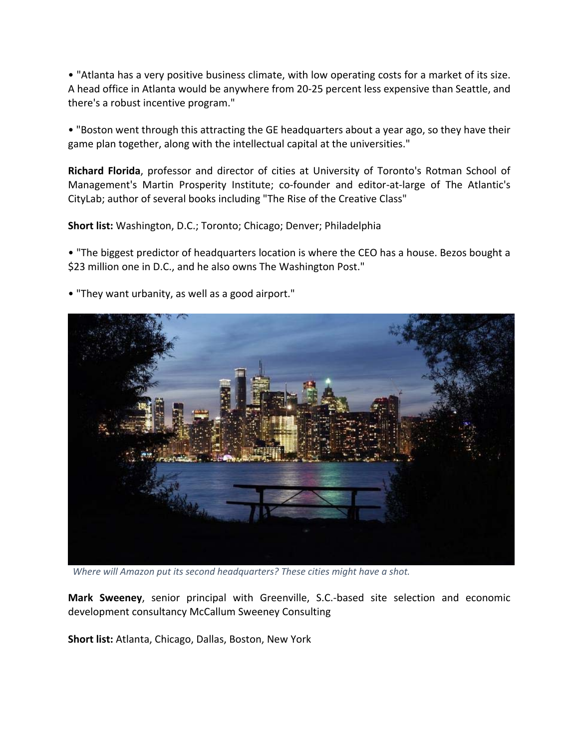• "Atlanta has a very positive business climate, with low operating costs for a market of its size. A head office in Atlanta would be anywhere from 20‐25 percent less expensive than Seattle, and there's a robust incentive program."

• "Boston went through this attracting the GE headquarters about a year ago, so they have their game plan together, along with the intellectual capital at the universities."

**Richard Florida**, professor and director of cities at University of Toronto's Rotman School of Management's Martin Prosperity Institute; co-founder and editor-at-large of The Atlantic's CityLab; author of several books including "The Rise of the Creative Class"

**Short list:** Washington, D.C.; Toronto; Chicago; Denver; Philadelphia

• "The biggest predictor of headquarters location is where the CEO has a house. Bezos bought a \$23 million one in D.C., and he also owns The Washington Post."



• "They want urbanity, as well as a good airport."

 *Where will Amazon put its second headquarters? These cities might have a shot.*

**Mark Sweeney**, senior principal with Greenville, S.C.‐based site selection and economic development consultancy McCallum Sweeney Consulting

**Short list:** Atlanta, Chicago, Dallas, Boston, New York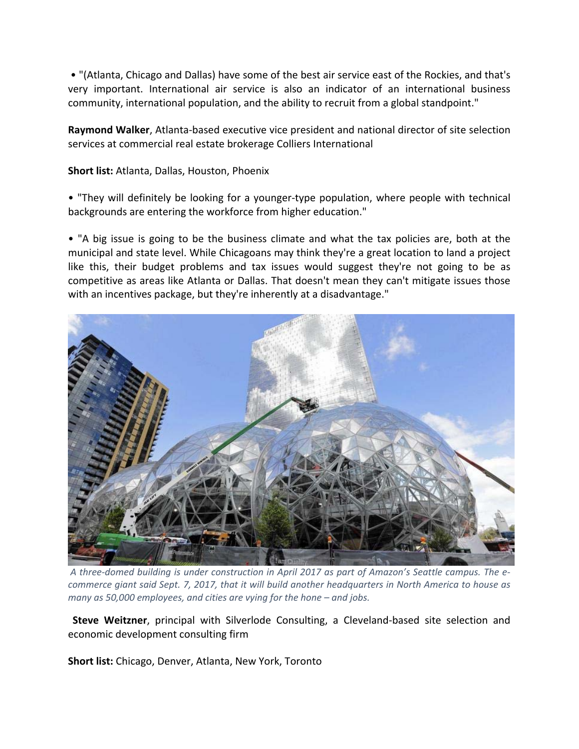• "(Atlanta, Chicago and Dallas) have some of the best air service east of the Rockies, and that's very important. International air service is also an indicator of an international business community, international population, and the ability to recruit from a global standpoint."

**Raymond Walker**, Atlanta‐based executive vice president and national director of site selection services at commercial real estate brokerage Colliers International

**Short list:** Atlanta, Dallas, Houston, Phoenix

• "They will definitely be looking for a younger‐type population, where people with technical backgrounds are entering the workforce from higher education."

• "A big issue is going to be the business climate and what the tax policies are, both at the municipal and state level. While Chicagoans may think they're a great location to land a project like this, their budget problems and tax issues would suggest they're not going to be as competitive as areas like Atlanta or Dallas. That doesn't mean they can't mitigate issues those with an incentives package, but they're inherently at a disadvantage."



A three-domed building is under construction in April 2017 as part of Amazon's Seattle campus. The ecommerce giant said Sept. 7, 2017, that it will build another headquarters in North America to house as *many as 50,000 employees, and cities are vying for the hone – and jobs.*

 **Steve Weitzner**, principal with Silverlode Consulting, a Cleveland‐based site selection and economic development consulting firm

**Short list:** Chicago, Denver, Atlanta, New York, Toronto